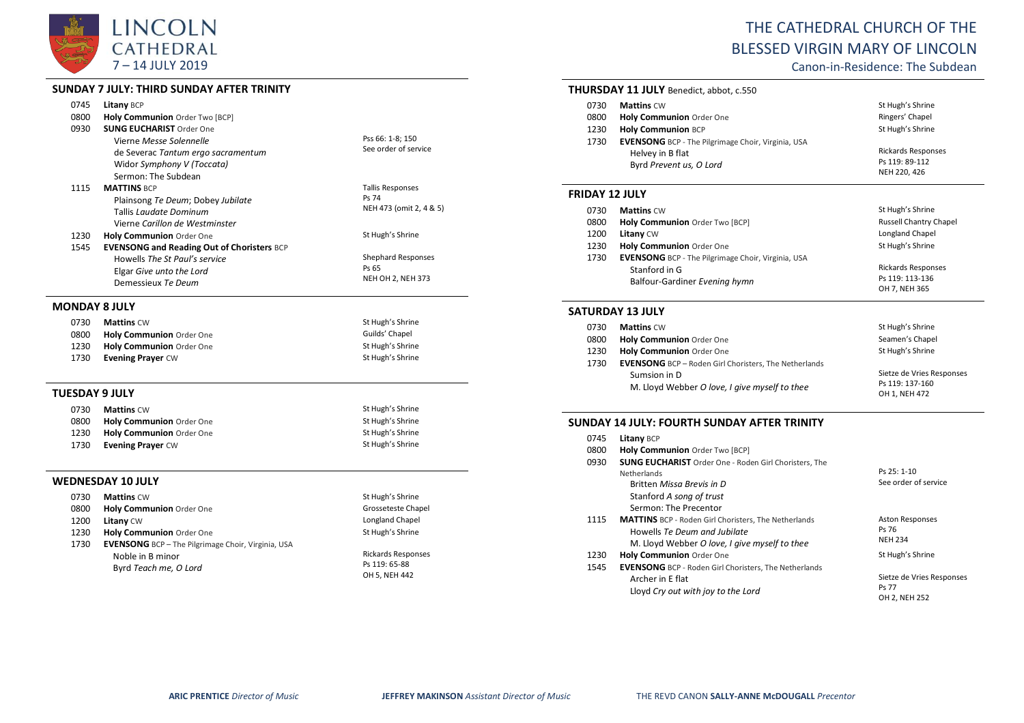

# **SUNDAY 7 JULY: THIRD SUNDAY AFTER TRINITY**

| 0745                  | Litany BCP                                        |                          |
|-----------------------|---------------------------------------------------|--------------------------|
| 0800                  | Holy Communion Order Two [BCP]                    |                          |
| 0930                  | <b>SUNG EUCHARIST Order One</b>                   |                          |
|                       | Vierne Messe Solennelle                           | Pss 66: 1-8; 150         |
|                       | de Severac Tantum ergo sacramentum                | See order of service     |
|                       | Widor Symphony V (Toccata)                        |                          |
|                       | Sermon: The Subdean                               |                          |
| 1115                  | <b>MATTINS BCP</b>                                | <b>Tallis Responses</b>  |
|                       | Plainsong Te Deum; Dobey Jubilate                 | Ps 74                    |
|                       | Tallis Laudate Dominum                            | NEH 473 (omit 2, 4 & 5)  |
|                       | Vierne Carillon de Westminster                    |                          |
| 1230                  | Holy Communion Order One                          | St Hugh's Shrine         |
| 1545                  | <b>EVENSONG and Reading Out of Choristers BCP</b> |                          |
|                       | Howells The St Paul's service                     | Shephard Responses       |
|                       | Elgar Give unto the Lord                          | Ps 65                    |
|                       | Demessieux Te Deum                                | <b>NEH OH 2, NEH 373</b> |
| <b>MONDAY 8 JULY</b>  |                                                   |                          |
| 0730                  | <b>Mattins CW</b>                                 | St Hugh's Shrine         |
| 0800                  | Holy Communion Order One                          | Guilds' Chapel           |
| 1230                  | Holy Communion Order One                          | St Hugh's Shrine         |
| 1730                  | <b>Evening Prayer CW</b>                          | St Hugh's Shrine         |
|                       |                                                   |                          |
| <b>TUESDAY 9 JULY</b> |                                                   |                          |
| 0730                  | <b>Mattins CW</b>                                 | St Hugh's Shrine         |
| 0800                  | Holy Communion Order One                          | St Hugh's Shrine         |
| 1230                  | Holy Communion Order One                          | St Hugh's Shrine         |
| 1730                  | <b>Evening Prayer CW</b>                          | St Hugh's Shrine         |
|                       | <b>WEDNESDAY 10 JULY</b>                          |                          |
| 0730                  | <b>Mattins CW</b>                                 | St Hugh's Shrine         |
| 0800                  | Holy Communion Order One                          | Grosseteste Chapel       |
| 1200                  | Litany CW                                         | Longland Chapel          |
| 1230                  | Holy Communion Order One                          | St Hugh's Shrine         |

1730 **EVENSONG** BCP – The Pilgrimage Choir, Virginia, USA Noble in B minor Byrd *Teach me, O Lord*

| <b>Rickards Responses</b> |
|---------------------------|
| Ps 119: 65-88             |
| OH 5. NEH 442             |

# THE CATHEDRAL CHURCH OF THE BLESSED VIRGIN MARY OF LINCOLN

Canon-in-Residence: The Subdean

# **THURSDAY 11 JULY** Benedict, abbot, c.550

| 0730 | <b>Mattins CW</b>                                         | St Hugh's Shrine          |
|------|-----------------------------------------------------------|---------------------------|
| 0800 | Holy Communion Order One                                  | Ringers' Chapel           |
| 1230 | <b>Holy Communion BCP</b>                                 | St Hugh's Shrine          |
| 1730 | <b>EVENSONG</b> BCP - The Pilgrimage Choir, Virginia, USA |                           |
|      | Helvey in B flat                                          | <b>Rickards Responses</b> |
|      | Byrd Prevent us, O Lord                                   | Ps 119: 89-112            |
|      |                                                           | NEH 220, 426              |

# **FRIDAY 12 JULY**

| 0730 | <b>Mattins CW</b>                                         | St Hugh's Shrine              |
|------|-----------------------------------------------------------|-------------------------------|
| 0800 | Holy Communion Order Two [BCP]                            | <b>Russell Chantry Chapel</b> |
| 1200 | <b>Litany CW</b>                                          | Longland Chapel               |
| 1230 | Holy Communion Order One                                  | St Hugh's Shrine              |
| 1730 | <b>EVENSONG</b> BCP - The Pilgrimage Choir, Virginia, USA |                               |
|      | Stanford in G                                             | <b>Rickards Responses</b>     |
|      | Balfour-Gardiner Evening hymn                             | Ps 119: 113-136               |
|      |                                                           | OH 7, NEH 365                 |

#### **SATURDAY 13 JULY**

| 0730 | <b>Mattins CW</b>                                            | St Hugh's Shrine          |
|------|--------------------------------------------------------------|---------------------------|
| 0800 | <b>Holy Communion Order One</b>                              | Seamen's Chapel           |
| 1230 | Holy Communion Order One                                     | St Hugh's Shrine          |
| 1730 | <b>EVENSONG</b> BCP - Roden Girl Choristers, The Netherlands |                           |
|      | Sumsion in D                                                 | Sietze de Vries Responses |
|      | M. Lloyd Webber O love, I give myself to thee                | Ps 119: 137-160           |
|      |                                                              | OH 1, NEH 472             |

## **SUNDAY 14 JULY: FOURTH SUNDAY AFTER TRINITY**

| 0745         | <b>Litany BCP</b>                                                                                                                                                    |                                                     |
|--------------|----------------------------------------------------------------------------------------------------------------------------------------------------------------------|-----------------------------------------------------|
| 0800         | Holy Communion Order Two [BCP]                                                                                                                                       |                                                     |
| 0930         | <b>SUNG EUCHARIST</b> Order One - Roden Girl Choristers, The<br><b>Netherlands</b><br>Britten Missa Brevis in D<br>Stanford A song of trust<br>Sermon: The Precentor | Ps 25: 1-10<br>See order of service                 |
| 1115         | <b>MATTINS</b> BCP - Roden Girl Choristers, The Netherlands<br>Howells Te Deum and Jubilate<br>M. Lloyd Webber O love, I give myself to thee                         | <b>Aston Responses</b><br>Ps 76<br><b>NEH 234</b>   |
| 1230<br>1545 | <b>Holy Communion Order One</b><br><b>EVENSONG</b> BCP - Roden Girl Choristers, The Netherlands                                                                      | St Hugh's Shrine                                    |
|              | Archer in E flat<br>Lloyd Cry out with joy to the Lord                                                                                                               | Sietze de Vries Responses<br>Ps 77<br>OH 2, NEH 252 |